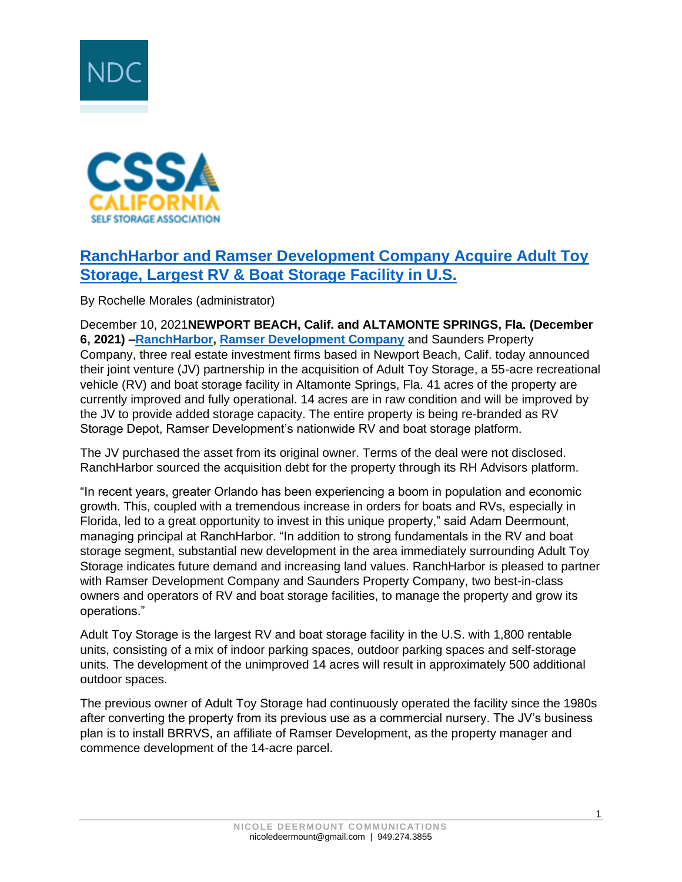



## **[RanchHarbor and Ramser Development Company Acquire Adult Toy](https://www.storable.com/storage-beat/adult-toy-storage/)  [Storage, Largest RV & Boat Storage Facility in U.S.](https://www.storable.com/storage-beat/adult-toy-storage/)**

By Rochelle Morales (administrator)

December 10, 2021**NEWPORT BEACH, Calif. and ALTAMONTE SPRINGS, Fla. (December 6, 2021) [–RanchHarbor,](https://ranchharbor.com/) [Ramser Development Company](https://www.ramserdevco.com/)** and Saunders Property Company, three real estate investment firms based in Newport Beach, Calif. today announced their joint venture (JV) partnership in the acquisition of Adult Toy Storage, a 55-acre recreational vehicle (RV) and boat storage facility in Altamonte Springs, Fla. 41 acres of the property are currently improved and fully operational. 14 acres are in raw condition and will be improved by the JV to provide added storage capacity. The entire property is being re-branded as RV Storage Depot, Ramser Development's nationwide RV and boat storage platform.

The JV purchased the asset from its original owner. Terms of the deal were not disclosed. RanchHarbor sourced the acquisition debt for the property through its RH Advisors platform.

"In recent years, greater Orlando has been experiencing a boom in population and economic growth. This, coupled with a tremendous increase in orders for boats and RVs, especially in Florida, led to a great opportunity to invest in this unique property," said Adam Deermount, managing principal at RanchHarbor. "In addition to strong fundamentals in the RV and boat storage segment, substantial new development in the area immediately surrounding Adult Toy Storage indicates future demand and increasing land values. RanchHarbor is pleased to partner with Ramser Development Company and Saunders Property Company, two best-in-class owners and operators of RV and boat storage facilities, to manage the property and grow its operations."

Adult Toy Storage is the largest RV and boat storage facility in the U.S. with 1,800 rentable units, consisting of a mix of indoor parking spaces, outdoor parking spaces and self-storage units. The development of the unimproved 14 acres will result in approximately 500 additional outdoor spaces.

The previous owner of Adult Toy Storage had continuously operated the facility since the 1980s after converting the property from its previous use as a commercial nursery. The JV's business plan is to install BRRVS, an affiliate of Ramser Development, as the property manager and commence development of the 14-acre parcel.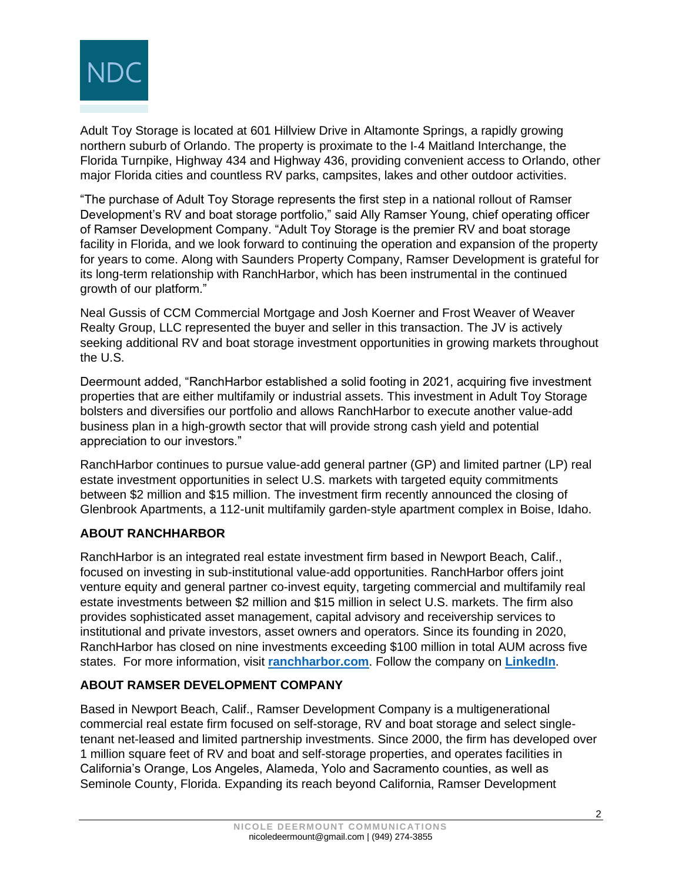

Adult Toy Storage is located at 601 Hillview Drive in Altamonte Springs, a rapidly growing northern suburb of Orlando. The property is proximate to the I‐4 Maitland Interchange, the Florida Turnpike, Highway 434 and Highway 436, providing convenient access to Orlando, other major Florida cities and countless RV parks, campsites, lakes and other outdoor activities.

"The purchase of Adult Toy Storage represents the first step in a national rollout of Ramser Development's RV and boat storage portfolio," said Ally Ramser Young, chief operating officer of Ramser Development Company. "Adult Toy Storage is the premier RV and boat storage facility in Florida, and we look forward to continuing the operation and expansion of the property for years to come. Along with Saunders Property Company, Ramser Development is grateful for its long-term relationship with RanchHarbor, which has been instrumental in the continued growth of our platform."

Neal Gussis of CCM Commercial Mortgage and Josh Koerner and Frost Weaver of Weaver Realty Group, LLC represented the buyer and seller in this transaction. The JV is actively seeking additional RV and boat storage investment opportunities in growing markets throughout the U.S.

Deermount added, "RanchHarbor established a solid footing in 2021, acquiring five investment properties that are either multifamily or industrial assets. This investment in Adult Toy Storage bolsters and diversifies our portfolio and allows RanchHarbor to execute another value-add business plan in a high-growth sector that will provide strong cash yield and potential appreciation to our investors."

RanchHarbor continues to pursue value-add general partner (GP) and limited partner (LP) real estate investment opportunities in select U.S. markets with targeted equity commitments between \$2 million and \$15 million. The investment firm recently announced the closing of Glenbrook Apartments, a 112-unit multifamily garden-style apartment complex in Boise, Idaho.

## **ABOUT RANCHHARBOR**

RanchHarbor is an integrated real estate investment firm based in Newport Beach, Calif., focused on investing in sub-institutional value-add opportunities. RanchHarbor offers joint venture equity and general partner co-invest equity, targeting commercial and multifamily real estate investments between \$2 million and \$15 million in select U.S. markets. The firm also provides sophisticated asset management, capital advisory and receivership services to institutional and private investors, asset owners and operators. Since its founding in 2020, RanchHarbor has closed on nine investments exceeding \$100 million in total AUM across five states. For more information, visit **[ranchharbor.com](https://ranchharbor.com/)**. Follow the company on **[LinkedIn](https://www.linkedin.com/company/ranch-harbor/)**.

## **ABOUT RAMSER DEVELOPMENT COMPANY**

Based in Newport Beach, Calif., Ramser Development Company is a multigenerational commercial real estate firm focused on self-storage, RV and boat storage and select singletenant net-leased and limited partnership investments. Since 2000, the firm has developed over 1 million square feet of RV and boat and self-storage properties, and operates facilities in California's Orange, Los Angeles, Alameda, Yolo and Sacramento counties, as well as Seminole County, Florida. Expanding its reach beyond California, Ramser Development